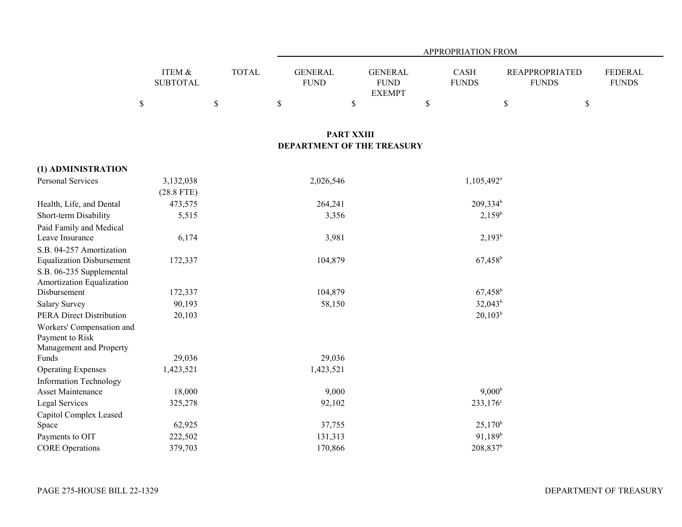|                                            |                           |              | APPROPRIATION FROM            |                                                 |                      |                        |                                       |                                |  |  |
|--------------------------------------------|---------------------------|--------------|-------------------------------|-------------------------------------------------|----------------------|------------------------|---------------------------------------|--------------------------------|--|--|
|                                            | ITEM &<br><b>SUBTOTAL</b> | <b>TOTAL</b> | <b>GENERAL</b><br><b>FUND</b> | <b>GENERAL</b><br><b>FUND</b><br><b>EXEMPT</b>  | CASH<br><b>FUNDS</b> |                        | <b>REAPPROPRIATED</b><br><b>FUNDS</b> | <b>FEDERAL</b><br><b>FUNDS</b> |  |  |
|                                            | \$                        | \$           | $\mathbb{S}$                  | $\mathbb{S}$                                    | \$                   | $\$$                   | \$                                    |                                |  |  |
|                                            |                           |              |                               |                                                 |                      |                        |                                       |                                |  |  |
|                                            |                           |              |                               | <b>PART XXIII</b><br>DEPARTMENT OF THE TREASURY |                      |                        |                                       |                                |  |  |
|                                            |                           |              |                               |                                                 |                      |                        |                                       |                                |  |  |
| (1) ADMINISTRATION                         |                           |              |                               |                                                 |                      |                        |                                       |                                |  |  |
| Personal Services                          | 3,132,038                 |              | 2,026,546                     |                                                 |                      | 1,105,492 <sup>a</sup> |                                       |                                |  |  |
|                                            | $(28.8$ FTE)              |              |                               |                                                 |                      |                        |                                       |                                |  |  |
| Health, Life, and Dental                   | 473,575                   |              | 264,241                       |                                                 |                      | $209,334^b$            |                                       |                                |  |  |
| Short-term Disability                      | 5,515                     |              | 3,356                         |                                                 |                      | $2,159^b$              |                                       |                                |  |  |
| Paid Family and Medical                    |                           |              |                               |                                                 |                      |                        |                                       |                                |  |  |
| Leave Insurance                            | 6,174                     |              | 3,981                         |                                                 |                      | $2,193^b$              |                                       |                                |  |  |
| S.B. 04-257 Amortization                   |                           |              |                               |                                                 |                      |                        |                                       |                                |  |  |
| <b>Equalization Disbursement</b>           | 172,337                   |              | 104,879                       |                                                 |                      | $67,458$ <sup>b</sup>  |                                       |                                |  |  |
| S.B. 06-235 Supplemental                   |                           |              |                               |                                                 |                      |                        |                                       |                                |  |  |
| Amortization Equalization                  |                           |              |                               |                                                 |                      |                        |                                       |                                |  |  |
| Disbursement                               | 172,337                   |              | 104,879                       |                                                 |                      | $67,458$ <sup>b</sup>  |                                       |                                |  |  |
| <b>Salary Survey</b>                       | 90,193                    |              | 58,150                        |                                                 |                      | $32,043^b$             |                                       |                                |  |  |
| <b>PERA Direct Distribution</b>            | 20,103                    |              |                               |                                                 |                      | $20,103^b$             |                                       |                                |  |  |
| Workers' Compensation and                  |                           |              |                               |                                                 |                      |                        |                                       |                                |  |  |
| Payment to Risk<br>Management and Property |                           |              |                               |                                                 |                      |                        |                                       |                                |  |  |
| Funds                                      | 29,036                    |              | 29,036                        |                                                 |                      |                        |                                       |                                |  |  |
| <b>Operating Expenses</b>                  | 1,423,521                 |              | 1,423,521                     |                                                 |                      |                        |                                       |                                |  |  |
| <b>Information Technology</b>              |                           |              |                               |                                                 |                      |                        |                                       |                                |  |  |
| <b>Asset Maintenance</b>                   | 18,000                    |              | 9,000                         |                                                 |                      | 9,000 <sup>b</sup>     |                                       |                                |  |  |
| Legal Services                             | 325,278                   |              | 92,102                        |                                                 |                      | 233,176 <sup>c</sup>   |                                       |                                |  |  |
| Capitol Complex Leased                     |                           |              |                               |                                                 |                      |                        |                                       |                                |  |  |
| Space                                      | 62,925                    |              | 37,755                        |                                                 |                      | $25,170^{\rm b}$       |                                       |                                |  |  |
| Payments to OIT                            | 222,502                   |              | 131,313                       |                                                 |                      | $91,189^b$             |                                       |                                |  |  |
| <b>CORE</b> Operations                     | 379,703                   |              | 170,866                       |                                                 |                      | $208,837$ <sup>b</sup> |                                       |                                |  |  |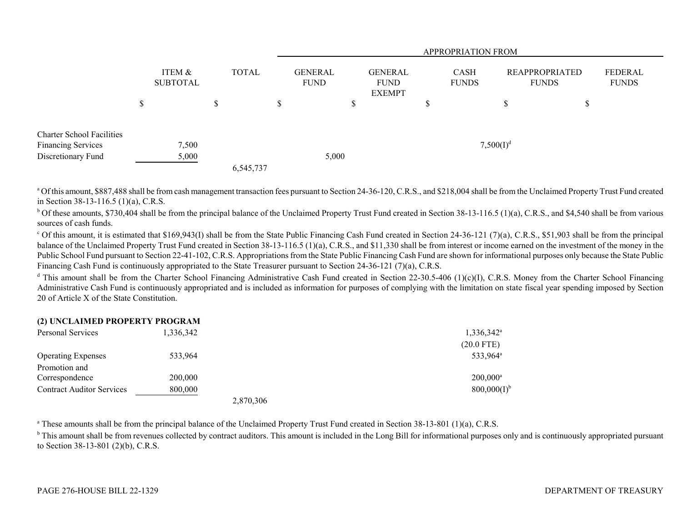|                                  |         |                           |             |           |                        | <b>APPROPRIATION FROM</b> |                                                |                             |              |                                       |   |                         |  |
|----------------------------------|---------|---------------------------|-------------|-----------|------------------------|---------------------------|------------------------------------------------|-----------------------------|--------------|---------------------------------------|---|-------------------------|--|
|                                  |         | ITEM &<br><b>SUBTOTAL</b> |             | TOTAL     | GENERAL<br><b>FUND</b> |                           | <b>GENERAL</b><br><b>FUND</b><br><b>EXEMPT</b> | <b>CASH</b><br><b>FUNDS</b> |              | <b>REAPPROPRIATED</b><br><b>FUNDS</b> |   | FEDERAL<br><b>FUNDS</b> |  |
|                                  | ¢<br>۵D |                           | $\triangle$ |           | \$.                    |                           |                                                |                             |              | Φ                                     | D |                         |  |
| <b>Charter School Facilities</b> |         |                           |             |           |                        |                           |                                                |                             |              |                                       |   |                         |  |
| <b>Financing Services</b>        |         | 7,500                     |             |           |                        |                           |                                                |                             | $7,500(I)^d$ |                                       |   |                         |  |
| Discretionary Fund               |         | 5,000                     |             |           |                        | 5,000                     |                                                |                             |              |                                       |   |                         |  |
|                                  |         |                           |             | 6,545,737 |                        |                           |                                                |                             |              |                                       |   |                         |  |

<sup>a</sup> Of this amount, \$887,488 shall be from cash management transaction fees pursuant to Section 24-36-120, C.R.S., and \$218,004 shall be from the Unclaimed Property Trust Fund created in Section 38-13-116.5 (1)(a), C.R.S.

<sup>b</sup> Of these amounts, \$730,404 shall be from the principal balance of the Unclaimed Property Trust Fund created in Section 38-13-116.5 (1)(a), C.R.S., and \$4,540 shall be from various sources of cash funds.

 $^{\circ}$  Of this amount, it is estimated that \$169,943(I) shall be from the State Public Financing Cash Fund created in Section 24-36-121 (7)(a), C.R.S., \$51,903 shall be from the principal balance of the Unclaimed Property Trust Fund created in Section 38-13-116.5 (1)(a), C.R.S., and \$11,330 shall be from interest or income earned on the investment of the money in the Public School Fund pursuant to Section 22-41-102, C.R.S. Appropriations from the State Public Financing Cash Fund are shown for informational purposes only because the State Public Financing Cash Fund is continuously appropriated to the State Treasurer pursuant to Section 24-36-121 (7)(a), C.R.S.

<sup>d</sup> This amount shall be from the Charter School Financing Administrative Cash Fund created in Section 22-30.5-406 (1)(c)(I), C.R.S. Money from the Charter School Financing Administrative Cash Fund is continuously appropriated and is included as information for purposes of complying with the limitation on state fiscal year spending imposed by Section 20 of Article X of the State Constitution.

## **(2) UNCLAIMED PROPERTY PROGRAM**

| Personal Services                | 1,336,342 |           | $1,336,342^{\circ}$  |
|----------------------------------|-----------|-----------|----------------------|
|                                  |           |           | $(20.0$ FTE)         |
| <b>Operating Expenses</b>        | 533,964   |           | 533,964 <sup>a</sup> |
| Promotion and                    |           |           |                      |
| Correspondence                   | 200,000   |           | $200,000^a$          |
| <b>Contract Auditor Services</b> | 800,000   |           | $800,000(I)^{6}$     |
|                                  |           | 2,870,306 |                      |

<sup>a</sup> These amounts shall be from the principal balance of the Unclaimed Property Trust Fund created in Section 38-13-801 (1)(a), C.R.S.

<sup>b</sup> This amount shall be from revenues collected by contract auditors. This amount is included in the Long Bill for informational purposes only and is continuously appropriated pursuant to Section 38-13-801 (2)(b), C.R.S.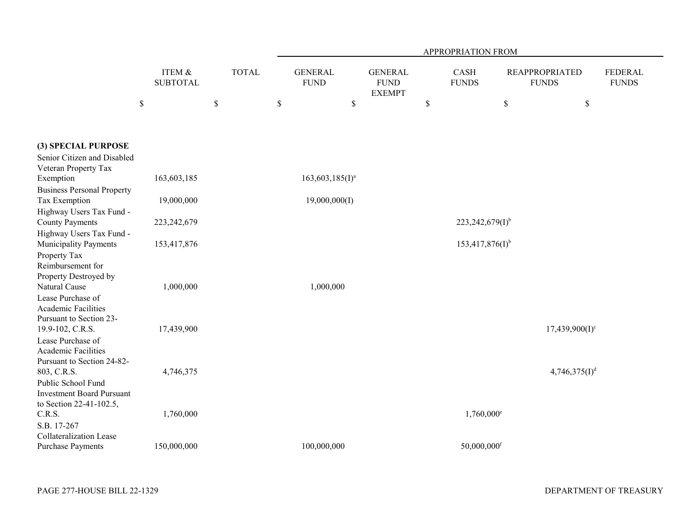|                                                                                |                           |              | APPROPRIATION FROM            |                                                |                      |                           |                                       |                         |  |  |  |
|--------------------------------------------------------------------------------|---------------------------|--------------|-------------------------------|------------------------------------------------|----------------------|---------------------------|---------------------------------------|-------------------------|--|--|--|
|                                                                                | ITEM &<br><b>SUBTOTAL</b> | <b>TOTAL</b> | <b>GENERAL</b><br><b>FUND</b> | <b>GENERAL</b><br><b>FUND</b><br><b>EXEMPT</b> | CASH<br><b>FUNDS</b> |                           | <b>REAPPROPRIATED</b><br><b>FUNDS</b> | FEDERAL<br><b>FUNDS</b> |  |  |  |
|                                                                                | $\boldsymbol{\mathsf{S}}$ | \$           | $\mathbb{S}$<br>\$            |                                                | $\mathbb{S}$         | \$                        | $\$$                                  |                         |  |  |  |
|                                                                                |                           |              |                               |                                                |                      |                           |                                       |                         |  |  |  |
| (3) SPECIAL PURPOSE                                                            |                           |              |                               |                                                |                      |                           |                                       |                         |  |  |  |
| Senior Citizen and Disabled<br>Veteran Property Tax                            |                           |              |                               |                                                |                      |                           |                                       |                         |  |  |  |
| Exemption                                                                      | 163,603,185               |              | $163,603,185(I)^a$            |                                                |                      |                           |                                       |                         |  |  |  |
| <b>Business Personal Property</b><br>Tax Exemption<br>Highway Users Tax Fund - | 19,000,000                |              | 19,000,000(I)                 |                                                |                      |                           |                                       |                         |  |  |  |
| <b>County Payments</b>                                                         | 223, 242, 679             |              |                               |                                                |                      | $223,242,679(I)^{b}$      |                                       |                         |  |  |  |
| Highway Users Tax Fund -<br>Municipality Payments                              | 153,417,876               |              |                               |                                                |                      | $153,417,876(I)^{b}$      |                                       |                         |  |  |  |
| Property Tax<br>Reimbursement for<br>Property Destroyed by                     |                           |              |                               |                                                |                      |                           |                                       |                         |  |  |  |
| Natural Cause                                                                  | 1,000,000                 |              | 1,000,000                     |                                                |                      |                           |                                       |                         |  |  |  |
| Lease Purchase of<br>Academic Facilities<br>Pursuant to Section 23-            |                           |              |                               |                                                |                      |                           |                                       |                         |  |  |  |
| 19.9-102, C.R.S.<br>Lease Purchase of                                          | 17,439,900                |              |                               |                                                |                      |                           | $17,439,900(I)^c$                     |                         |  |  |  |
| <b>Academic Facilities</b><br>Pursuant to Section 24-82-                       |                           |              |                               |                                                |                      |                           |                                       |                         |  |  |  |
| 803, C.R.S.<br>Public School Fund                                              | 4,746,375                 |              |                               |                                                |                      |                           | $4,746,375(I)^{d}$                    |                         |  |  |  |
| <b>Investment Board Pursuant</b><br>to Section 22-41-102.5,                    |                           |              |                               |                                                |                      |                           |                                       |                         |  |  |  |
| C.R.S.<br>S.B. 17-267                                                          | 1,760,000                 |              |                               |                                                |                      | $1,760,000$ <sup>e</sup>  |                                       |                         |  |  |  |
| <b>Collateralization Lease</b><br><b>Purchase Payments</b>                     | 150,000,000               |              | 100,000,000                   |                                                |                      | $50,000,000$ <sup>f</sup> |                                       |                         |  |  |  |
|                                                                                |                           |              |                               |                                                |                      |                           |                                       |                         |  |  |  |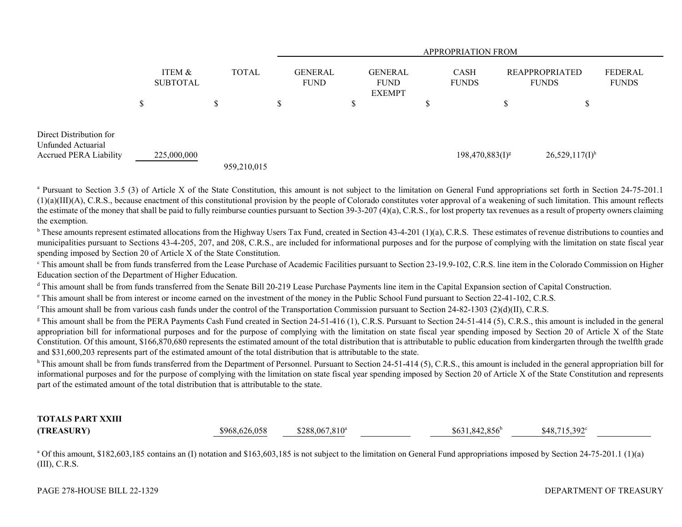|                                                                                |          |                           |              |             |                               | <b>APPROPRIATION FROM</b> |                                                |  |                             |                      |                                       |                   |                         |
|--------------------------------------------------------------------------------|----------|---------------------------|--------------|-------------|-------------------------------|---------------------------|------------------------------------------------|--|-----------------------------|----------------------|---------------------------------------|-------------------|-------------------------|
|                                                                                |          | ITEM &<br><b>SUBTOTAL</b> | <b>TOTAL</b> |             | <b>GENERAL</b><br><b>FUND</b> |                           | <b>GENERAL</b><br><b>FUND</b><br><b>EXEMPT</b> |  | <b>CASH</b><br><b>FUNDS</b> |                      | <b>REAPPROPRIATED</b><br><b>FUNDS</b> |                   | FEDERAL<br><b>FUNDS</b> |
|                                                                                | ــه<br>D |                           | \$           |             | S                             |                           | \$                                             |  | Φ<br>D                      |                      |                                       | D                 |                         |
| Direct Distribution for<br>Unfunded Actuarial<br><b>Accrued PERA Liability</b> |          | 225,000,000               |              | 959,210,015 |                               |                           |                                                |  |                             | $198,470,883(I)^{g}$ |                                       | $26,529,117(I)^h$ |                         |

<sup>a</sup> Pursuant to Section 3.5 (3) of Article X of the State Constitution, this amount is not subject to the limitation on General Fund appropriations set forth in Section 24-75-201.1 (1)(a)(III)(A), C.R.S., because enactment of this constitutional provision by the people of Colorado constitutes voter approval of a weakening of such limitation. This amount reflects the estimate of the money that shall be paid to fully reimburse counties pursuant to Section 39-3-207 (4)(a), C.R.S., for lost property tax revenues as a result of property owners claiming the exemption.

<sup>b</sup> These amounts represent estimated allocations from the Highway Users Tax Fund, created in Section 43-4-201 (1)(a), C.R.S. These estimates of revenue distributions to counties and municipalities pursuant to Sections 43-4-205, 207, and 208, C.R.S., are included for informational purposes and for the purpose of complying with the limitation on state fiscal year spending imposed by Section 20 of Article X of the State Constitution.

<sup>c</sup> This amount shall be from funds transferred from the Lease Purchase of Academic Facilities pursuant to Section 23-19.9-102, C.R.S. line item in the Colorado Commission on Higher Education section of the Department of Higher Education.

<sup>d</sup> This amount shall be from funds transferred from the Senate Bill 20-219 Lease Purchase Payments line item in the Capital Expansion section of Capital Construction.

e This amount shall be from interest or income earned on the investment of the money in the Public School Fund pursuant to Section 22-41-102, C.R.S.

<sup>f</sup>This amount shall be from various cash funds under the control of the Transportation Commission pursuant to Section 24-82-1303 (2)(d)(II), C.R.S.

<sup>g</sup> This amount shall be from the PERA Payments Cash Fund created in Section 24-51-416 (1), C.R.S. Pursuant to Section 24-51-414 (5), C.R.S., this amount is included in the general appropriation bill for informational purposes and for the purpose of complying with the limitation on state fiscal year spending imposed by Section 20 of Article X of the State Constitution. Of this amount, \$166,870,680 represents the estimated amount of the total distribution that is attributable to public education from kindergarten through the twelfth grade and \$31,600,203 represents part of the estimated amount of the total distribution that is attributable to the state.

<sup>h</sup> This amount shall be from funds transferred from the Department of Personnel. Pursuant to Section 24-51-414 (5), C.R.S., this amount is included in the general appropriation bill for informational purposes and for the purpose of complying with the limitation on state fiscal year spending imposed by Section 20 of Article X of the State Constitution and represents part of the estimated amount of the total distribution that is attributable to the state.

## **TOTALS PART XXIII(TREASURY)** \$968,626,058 \$288,067,810<sup>a</sup> \$631,842,856<sup>b</sup> \$48,715,392<sup>c</sup>

<sup>a</sup> Of this amount, \$182,603,185 contains an (I) notation and \$163,603,185 is not subject to the limitation on General Fund appropriations imposed by Section 24-75-201.1 (1)(a) (III), C.R.S.